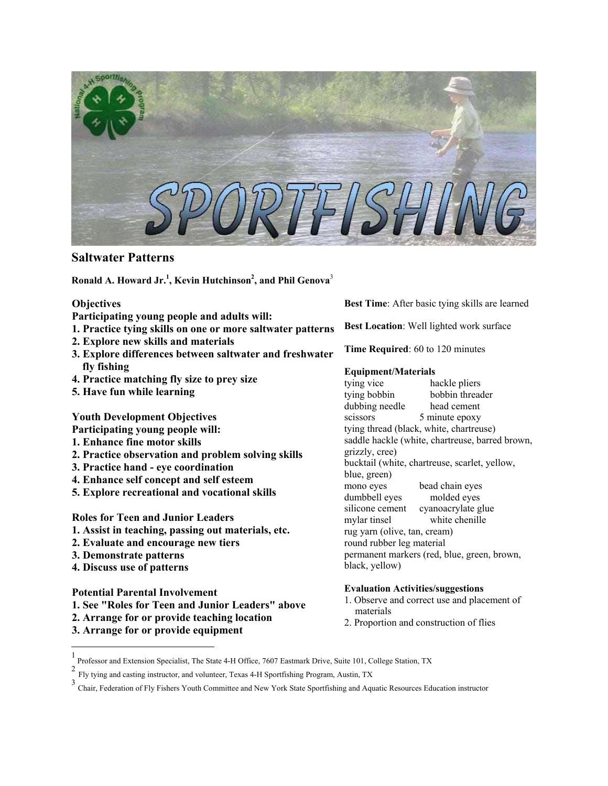

# **Saltwater Patterns**

**Ronald A. Howard Jr. 1 [,](#page-0-0) Kevin Hutchinso[n2](#page-0-1) , and Phil Genova**[3](#page-0-2)

# **Objectives**

**Participating young people and adults will:** 

- **1. Practice tying skills on one or more saltwater patterns**
- **2. Explore new skills and materials**
- **3. Explore differences between saltwater and freshwater fly fishing**
- **4. Practice matching fly size to prey size**
- **5. Have fun while learning**

# **Youth Development Objectives**

**Participating young people will:** 

- **1. Enhance fine motor skills**
- **2. Practice observation and problem solving skills**
- **3. Practice hand eye coordination**
- **4. Enhance self concept and self esteem**
- **5. Explore recreational and vocational skills**

**Roles for Teen and Junior Leaders** 

- **1. Assist in teaching, passing out materials, etc.**
- **2. Evaluate and encourage new tiers**
- **3. Demonstrate patterns**

 $\overline{a}$ 

**4. Discuss use of patterns**

**Potential Parental Involvement** 

- **1. See "Roles for Teen and Junior Leaders" above**
- **2. Arrange for or provide teaching location**
- **3. Arrange for or provide equipment**

**Best Time**: After basic tying skills are learned

**Best Location**: Well lighted work surface

**Time Required**: 60 to 120 minutes

# **Equipment/Materials**

tying vice hackle pliers tying bobbin bobbin threader dubbing needle head cement scissors 5 minute epoxy tying thread (black, white, chartreuse) saddle hackle (white, chartreuse, barred brown, grizzly, cree) bucktail (white, chartreuse, scarlet, yellow, blue, green) mono eyes bead chain eyes dumbbell eyes molded eyes silicone cement cyanoacrylate glue mylar tinsel white chenille rug yarn (olive, tan, cream) round rubber leg material permanent markers (red, blue, green, brown, black, yellow)

# **Evaluation Activities/suggestions**

- 1. Observe and correct use and placement of materials
- 2. Proportion and construction of flies

<span id="page-0-0"></span><sup>1</sup> Professor and Extension Specialist, The State 4-H Office, 7607 Eastmark Drive, Suite 101, College Station, TX<br> $\frac{2 \text{ Fly time and easier instance and voluntary Tensor of } \text{H Sportfichine Program}$ 

<span id="page-0-1"></span><sup>2</sup> Fly tying and casting instructor, and volunteer, Texas 4-H Sportfishing Program, Austin, TX

<span id="page-0-2"></span><sup>&</sup>lt;sup>3</sup> Chair, Federation of Fly Fishers Youth Committee and New York State Sportfishing and Aquatic Resources Education instructor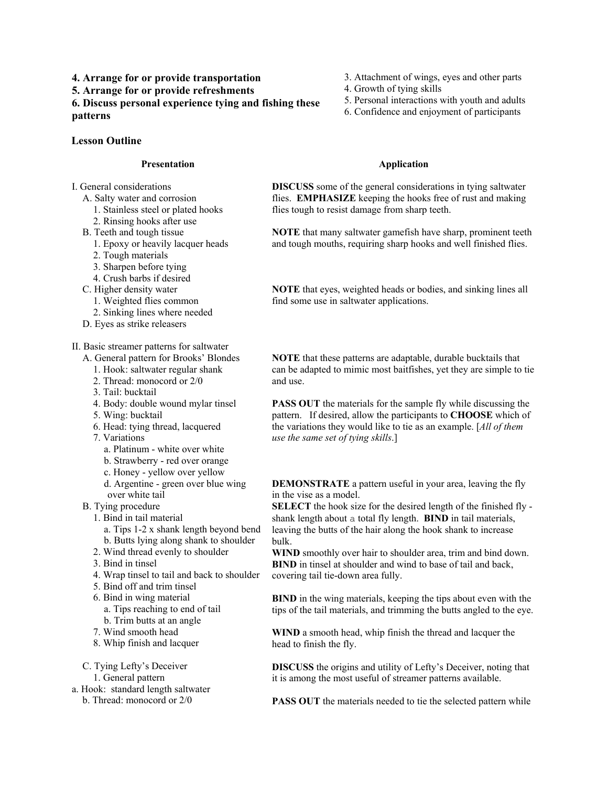**4. Arrange for or provide transportation 5. Arrange for or provide refreshments 6. Discuss personal experience tying and fishing these** 

**patterns**

# **Lesson Outline**

#### **Presentation**

I. General considerations

- A. Salty water and corrosion
	- 1. Stainless steel or plated hooks
	- 2. Rinsing hooks after use
- B. Teeth and tough tissue
	- 1. Epoxy or heavily lacquer heads
	- 2. Tough materials
	- 3. Sharpen before tying
	- 4. Crush barbs if desired
- C. Higher density water
	- 1. Weighted flies common
	- 2. Sinking lines where needed
- D. Eyes as strike releasers
- II. Basic streamer patterns for saltwater
	- A. General pattern for Brooks' Blondes
		- 1. Hook: saltwater regular shank
		- 2. Thread: monocord or 2/0
		- 3. Tail: bucktail
		- 4. Body: double wound mylar tinsel
		- 5. Wing: bucktail
		- 6. Head: tying thread, lacquered
		- 7. Variations
		- a. Platinum white over white
		- b. Strawberry red over orange
		- c. Honey yellow over yellow
		- d. Argentine green over blue wing over white tail
	- B. Tying procedure
		- 1. Bind in tail material
			- a. Tips 1-2 x shank length beyond bend b. Butts lying along shank to shoulder
		- 2. Wind thread evenly to shoulder
		- 3. Bind in tinsel
		- 4. Wrap tinsel to tail and back to shoulder
		- 5. Bind off and trim tinsel
		- 6. Bind in wing material
			- a. Tips reaching to end of tail
		- b. Trim butts at an angle 7. Wind smooth head
		-
		- 8. Whip finish and lacquer
	- C. Tying Lefty's Deceiver 1. General pattern
		-
- a. Hook: standard length saltwater b. Thread: monocord or 2/0
- 3. Attachment of wings, eyes and other parts
- 4. Growth of tying skills
- 5. Personal interactions with youth and adults
- 6. Confidence and enjoyment of participants

#### **Application**

**DISCUSS** some of the general considerations in tying saltwater flies. **EMPHASIZE** keeping the hooks free of rust and making flies tough to resist damage from sharp teeth.

**NOTE** that many saltwater gamefish have sharp, prominent teeth and tough mouths, requiring sharp hooks and well finished flies.

**NOTE** that eyes, weighted heads or bodies, and sinking lines all find some use in saltwater applications.

**NOTE** that these patterns are adaptable, durable bucktails that can be adapted to mimic most baitfishes, yet they are simple to tie and use.

**PASS OUT** the materials for the sample fly while discussing the pattern. If desired, allow the participants to **CHOOSE** which of the variations they would like to tie as an example. [*All of them use the same set of tying skills*.]

**DEMONSTRATE** a pattern useful in your area, leaving the fly in the vise as a model.

**SELECT** the hook size for the desired length of the finished fly shank length about a total fly length. **BIND** in tail materials, leaving the butts of the hair along the hook shank to increase bulk.

**WIND** smoothly over hair to shoulder area, trim and bind down. **BIND** in tinsel at shoulder and wind to base of tail and back, covering tail tie-down area fully.

**BIND** in the wing materials, keeping the tips about even with the tips of the tail materials, and trimming the butts angled to the eye.

**WIND** a smooth head, whip finish the thread and lacquer the head to finish the fly.

**DISCUSS** the origins and utility of Lefty's Deceiver, noting that it is among the most useful of streamer patterns available.

**PASS OUT** the materials needed to tie the selected pattern while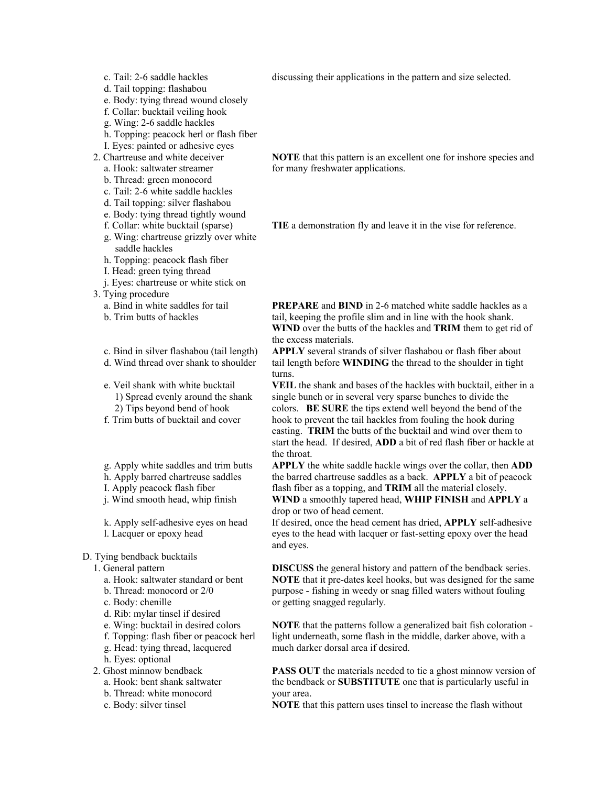- c. Tail: 2-6 saddle hackles
- d. Tail topping: flashabou
- e. Body: tying thread wound closely
- f. Collar: bucktail veiling hook
- g. Wing: 2-6 saddle hackles
- h. Topping: peacock herl or flash fiber
- I. Eyes: painted or adhesive eyes
- 2. Chartreuse and white deceiver
	- a. Hook: saltwater streamer b. Thread: green monocord
	- c. Tail: 2-6 white saddle hackles
	- d. Tail topping: silver flashabou
	- e. Body: tying thread tightly wound
	- f. Collar: white bucktail (sparse)
	- g. Wing: chartreuse grizzly over white saddle hackles
	- h. Topping: peacock flash fiber
	- I. Head: green tying thread
	- j. Eyes: chartreuse or white stick on
- 3. Tying procedure
	- a. Bind in white saddles for tail

b. Trim butts of hackles

- c. Bind in silver flashabou (tail length)
- d. Wind thread over shank to shoulder
- e. Veil shank with white bucktail
	- 1) Spread evenly around the shank
	- 2) Tips beyond bend of hook
- f. Trim butts of bucktail and cover
- g. Apply white saddles and trim butts
- h. Apply barred chartreuse saddles
- I. Apply peacock flash fiber
- j. Wind smooth head, whip finish
- k. Apply self-adhesive eyes on head l. Lacquer or epoxy head

### D. Tying bendback bucktails

- 1. General pattern
	- a. Hook: saltwater standard or bent
	- b. Thread: monocord or 2/0
	- c. Body: chenille
	- d. Rib: mylar tinsel if desired
	- e. Wing: bucktail in desired colors
	- f. Topping: flash fiber or peacock herl
	- g. Head: tying thread, lacquered
	- h. Eyes: optional
- 2. Ghost minnow bendback
	- a. Hook: bent shank saltwater
	- b. Thread: white monocord
	- c. Body: silver tinsel

discussing their applications in the pattern and size selected.

**NOTE** that this pattern is an excellent one for inshore species and for many freshwater applications.

**TIE** a demonstration fly and leave it in the vise for reference.

**PREPARE** and **BIND** in 2-6 matched white saddle hackles as a tail, keeping the profile slim and in line with the hook shank. **WIND** over the butts of the hackles and **TRIM** them to get rid of the excess materials.

**APPLY** several strands of silver flashabou or flash fiber about tail length before **WINDING** the thread to the shoulder in tight turns.

**VEIL** the shank and bases of the hackles with bucktail, either in a single bunch or in several very sparse bunches to divide the colors. **BE SURE** the tips extend well beyond the bend of the hook to prevent the tail hackles from fouling the hook during casting. **TRIM** the butts of the bucktail and wind over them to start the head. If desired, **ADD** a bit of red flash fiber or hackle at the throat.

**APPLY** the white saddle hackle wings over the collar, then **ADD** the barred chartreuse saddles as a back. **APPLY** a bit of peacock flash fiber as a topping, and **TRIM** all the material closely. **WIND** a smoothly tapered head, **WHIP FINISH** and **APPLY** a drop or two of head cement.

If desired, once the head cement has dried, **APPLY** self-adhesive eyes to the head with lacquer or fast-setting epoxy over the head and eyes.

**DISCUSS** the general history and pattern of the bendback series. **NOTE** that it pre-dates keel hooks, but was designed for the same purpose - fishing in weedy or snag filled waters without fouling or getting snagged regularly.

**NOTE** that the patterns follow a generalized bait fish coloration light underneath, some flash in the middle, darker above, with a much darker dorsal area if desired.

**PASS OUT** the materials needed to tie a ghost minnow version of the bendback or **SUBSTITUTE** one that is particularly useful in your area.

**NOTE** that this pattern uses tinsel to increase the flash without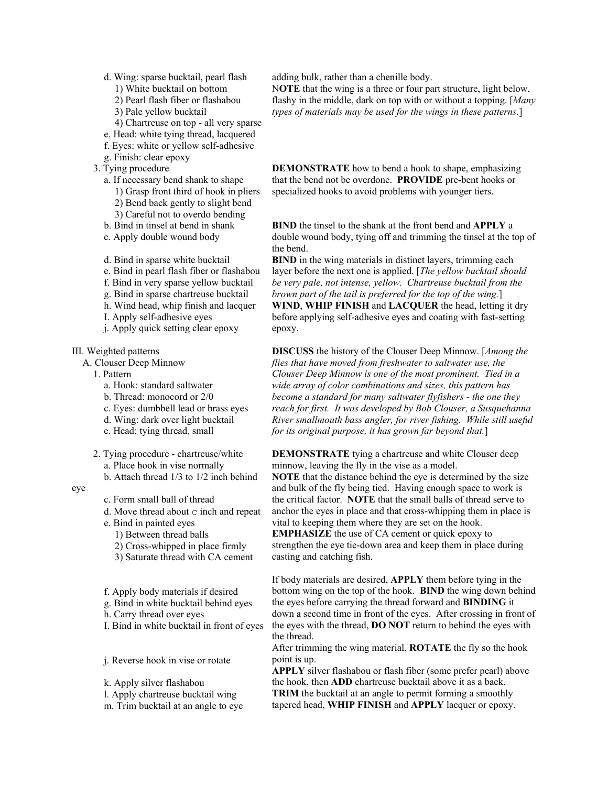- d. Wing: sparse bucktail, pearl flash
	- 1) White bucktail on bottom
	- 2) Pearl flash fiber or flashabou
	- 3) Pale yellow bucktail
	- 4) Chartreuse on top all very sparse
- e. Head: white tying thread, lacquered
- f. Eyes: white or yellow self-adhesive
- g. Finish: clear epoxy
- 3. Tying procedure
	- a. If necessary bend shank to shape 1) Grasp front third of hook in pliers 2) Bend back gently to slight bend 3) Careful not to overdo bending
	- b. Bind in tinsel at bend in shank
	- c. Apply double wound body
	- d. Bind in sparse white bucktail
	- e. Bind in pearl flash fiber or flashabou
	- f. Bind in very sparse yellow bucktail
	- g. Bind in sparse chartreuse bucktail
	- h. Wind head, whip finish and lacquer
	- I. Apply self-adhesive eyes
	- j. Apply quick setting clear epoxy

#### III. Weighted patterns

- A. Clouser Deep Minnow
	- 1. Pattern
	- a. Hook: standard saltwater
		- b. Thread: monocord or 2/0
		- c. Eyes: dumbbell lead or brass eyes
		- d. Wing: dark over light bucktail
		- e. Head: tying thread, small
	- 2. Tying procedure chartreuse/white a. Place hook in vise normally b. Attach thread 1/3 to 1/2 inch behind
	-

eye

- c. Form small ball of thread
- d. Move thread about  $\circ$  inch and repeat
- e. Bind in painted eyes
	- 1) Between thread balls
	- 2) Cross-whipped in place firmly
	- 3) Saturate thread with CA cement
- f. Apply body materials if desired
- g. Bind in white bucktail behind eyes
- h. Carry thread over eyes
- I. Bind in white bucktail in front of eyes

j. Reverse hook in vise or rotate

k. Apply silver flashabou l. Apply chartreuse bucktail wing m. Trim bucktail at an angle to eye adding bulk, rather than a chenille body.

N**OTE** that the wing is a three or four part structure, light below, flashy in the middle, dark on top with or without a topping. [*Many types of materials may be used for the wings in these patterns*.]

**DEMONSTRATE** how to bend a hook to shape, emphasizing that the bend not be overdone. **PROVIDE** pre-bent hooks or specialized hooks to avoid problems with younger tiers.

**BIND** the tinsel to the shank at the front bend and **APPLY** a double wound body, tying off and trimming the tinsel at the top of the bend.

**BIND** in the wing materials in distinct layers, trimming each layer before the next one is applied. [*The yellow bucktail should be very pale, not intense, yellow. Chartreuse bucktail from the brown part of the tail is preferred for the top of the wing.*] **WIND**, **WHIP FINISH** and **LACQUER** the head, letting it dry before applying self-adhesive eyes and coating with fast-setting epoxy.

**DISCUSS** the history of the Clouser Deep Minnow. [*Among the flies that have moved from freshwater to saltwater use, the Clouser Deep Minnow is one of the most prominent. Tied in a wide array of color combinations and sizes, this pattern has become a standard for many saltwater flyfishers - the one they reach for first. It was developed by Bob Clouser, a Susquehanna River smallmouth bass angler, for river fishing. While still useful for its original purpose, it has grown far beyond that.*]

**DEMONSTRATE** tying a chartreuse and white Clouser deep minnow, leaving the fly in the vise as a model. **NOTE** that the distance behind the eye is determined by the size and bulk of the fly being tied. Having enough space to work is the critical factor. **NOTE** that the small balls of thread serve to anchor the eyes in place and that cross-whipping them in place is vital to keeping them where they are set on the hook. **EMPHASIZE** the use of CA cement or quick epoxy to strengthen the eye tie-down area and keep them in place during casting and catching fish.

If body materials are desired, **APPLY** them before tying in the bottom wing on the top of the hook. **BIND** the wing down behind the eyes before carrying the thread forward and **BINDING** it down a second time in front of the eyes. After crossing in front of the eyes with the thread, **DO NOT** return to behind the eyes with the thread.

After trimming the wing material, **ROTATE** the fly so the hook point is up.

**APPLY** silver flashabou or flash fiber (some prefer pearl) above the hook, then **ADD** chartreuse bucktail above it as a back. **TRIM** the bucktail at an angle to permit forming a smoothly tapered head, **WHIP FINISH** and **APPLY** lacquer or epoxy.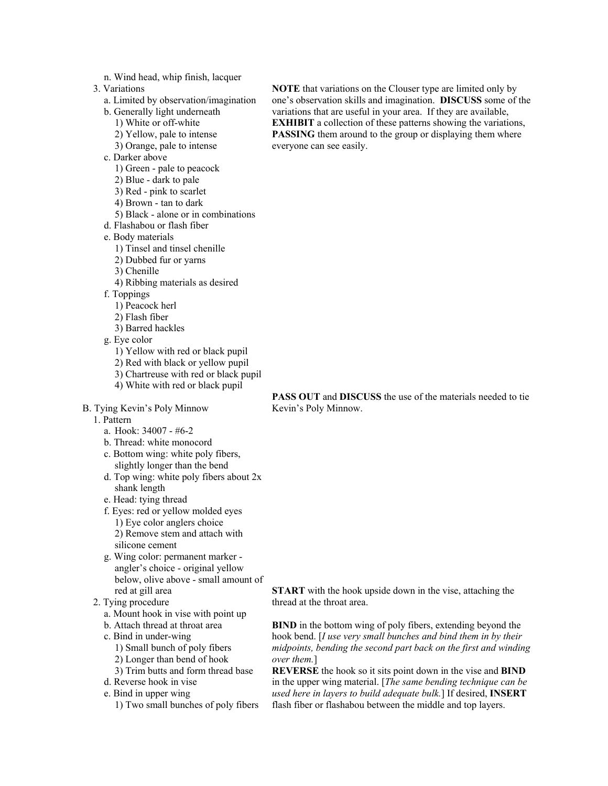- n. Wind head, whip finish, lacquer
- 3. Variations
	- a. Limited by observation/imagination
	- b. Generally light underneath
		- 1) White or off-white
		- 2) Yellow, pale to intense
	- 3) Orange, pale to intense
	- c. Darker above
		- 1) Green pale to peacock
		- 2) Blue dark to pale
		- 3) Red pink to scarlet
		- 4) Brown tan to dark
		- 5) Black alone or in combinations
	- d. Flashabou or flash fiber
	- e. Body materials
		- 1) Tinsel and tinsel chenille
		- 2) Dubbed fur or yarns
		- 3) Chenille
		- 4) Ribbing materials as desired
	- f. Toppings
		- 1) Peacock herl
		- 2) Flash fiber
		- 3) Barred hackles
	- g. Eye color
		- 1) Yellow with red or black pupil
		- 2) Red with black or yellow pupil
		- 3) Chartreuse with red or black pupil
		- 4) White with red or black pupil
- B. Tying Kevin's Poly Minnow
	- 1. Pattern
		- a. Hook: 34007 #6-2
		- b. Thread: white monocord
		- c. Bottom wing: white poly fibers, slightly longer than the bend
		- d. Top wing: white poly fibers about 2x shank length
		- e. Head: tying thread
		- f. Eyes: red or yellow molded eyes 1) Eye color anglers choice 2) Remove stem and attach with silicone cement
		- g. Wing color: permanent marker angler's choice - original yellow below, olive above - small amount of red at gill area
	- 2. Tying procedure
		- a. Mount hook in vise with point up
		- b. Attach thread at throat area
		- c. Bind in under-wing
			- 1) Small bunch of poly fibers
			- 2) Longer than bend of hook
			- 3) Trim butts and form thread base
		- d. Reverse hook in vise
		- e. Bind in upper wing
			- 1) Two small bunches of poly fibers

**NOTE** that variations on the Clouser type are limited only by one's observation skills and imagination. **DISCUSS** some of the variations that are useful in your area. If they are available, **EXHIBIT** a collection of these patterns showing the variations, **PASSING** them around to the group or displaying them where everyone can see easily.

**PASS OUT** and **DISCUSS** the use of the materials needed to tie Kevin's Poly Minnow.

**START** with the hook upside down in the vise, attaching the thread at the throat area.

**BIND** in the bottom wing of poly fibers, extending beyond the hook bend. [*I use very small bunches and bind them in by their midpoints, bending the second part back on the first and winding over them.*]

**REVERSE** the hook so it sits point down in the vise and **BIND** in the upper wing material. [*The same bending technique can be used here in layers to build adequate bulk.*] If desired, **INSERT** flash fiber or flashabou between the middle and top layers.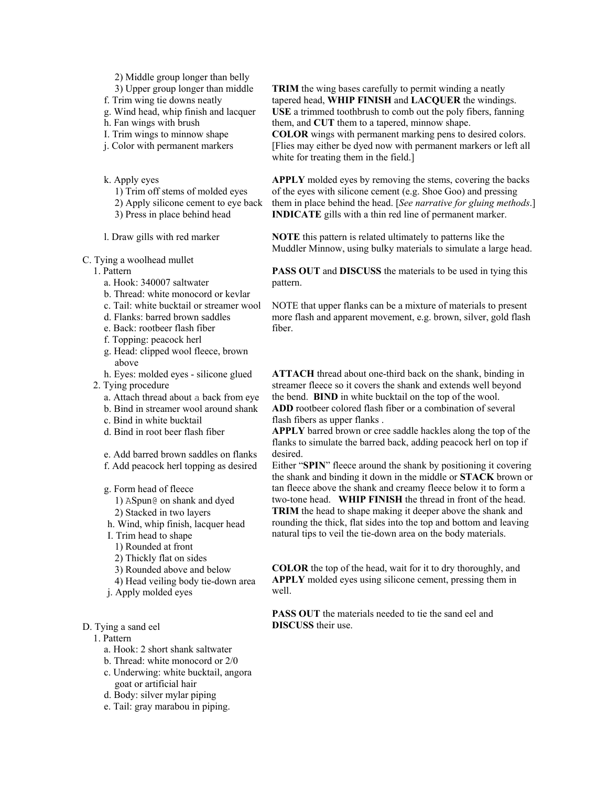- 2) Middle group longer than belly
- 3) Upper group longer than middle
- f. Trim wing tie downs neatly
- g. Wind head, whip finish and lacquer
- h. Fan wings with brush
- I. Trim wings to minnow shape
- j. Color with permanent markers
- k. Apply eyes
	- 1) Trim off stems of molded eyes
	- 2) Apply silicone cement to eye back
	- 3) Press in place behind head

l. Draw gills with red marker

- C. Tying a woolhead mullet
- 1. Pattern
	- a. Hook: 340007 saltwater
	- b. Thread: white monocord or kevlar
	- c. Tail: white bucktail or streamer wool
	- d. Flanks: barred brown saddles
	- e. Back: rootbeer flash fiber
	- f. Topping: peacock herl
	- g. Head: clipped wool fleece, brown above
	- h. Eyes: molded eyes silicone glued
- 2. Tying procedure
	- a. Attach thread about a back from eye
	- b. Bind in streamer wool around shank
	- c. Bind in white bucktail
	- d. Bind in root beer flash fiber
	- e. Add barred brown saddles on flanks
	- f. Add peacock herl topping as desired
	- g. Form head of fleece 1) ASpun@ on shank and dyed 2) Stacked in two layers h. Wind, whip finish, lacquer head I. Trim head to shape
		- 1) Rounded at front
		- 2) Thickly flat on sides
		- 3) Rounded above and below
		- 4) Head veiling body tie-down area
	- j. Apply molded eyes
- D. Tying a sand eel

1. Pattern

- a. Hook: 2 short shank saltwater
- b. Thread: white monocord or 2/0
- c. Underwing: white bucktail, angora goat or artificial hair
- d. Body: silver mylar piping
- e. Tail: gray marabou in piping.

**TRIM** the wing bases carefully to permit winding a neatly tapered head, **WHIP FINISH** and **LACQUER** the windings. **USE** a trimmed toothbrush to comb out the poly fibers, fanning them, and **CUT** them to a tapered, minnow shape. **COLOR** wings with permanent marking pens to desired colors. [Flies may either be dyed now with permanent markers or left all white for treating them in the field.]

**APPLY** molded eyes by removing the stems, covering the backs of the eyes with silicone cement (e.g. Shoe Goo) and pressing them in place behind the head. [*See narrative for gluing methods*.] **INDICATE** gills with a thin red line of permanent marker.

**NOTE** this pattern is related ultimately to patterns like the Muddler Minnow, using bulky materials to simulate a large head.

**PASS OUT** and **DISCUSS** the materials to be used in tying this pattern.

NOTE that upper flanks can be a mixture of materials to present more flash and apparent movement, e.g. brown, silver, gold flash fiber.

**ATTACH** thread about one-third back on the shank, binding in streamer fleece so it covers the shank and extends well beyond the bend. **BIND** in white bucktail on the top of the wool. **ADD** rootbeer colored flash fiber or a combination of several flash fibers as upper flanks .

**APPLY** barred brown or cree saddle hackles along the top of the flanks to simulate the barred back, adding peacock herl on top if desired.

Either "**SPIN**" fleece around the shank by positioning it covering the shank and binding it down in the middle or **STACK** brown or tan fleece above the shank and creamy fleece below it to form a two-tone head. **WHIP FINISH** the thread in front of the head. **TRIM** the head to shape making it deeper above the shank and rounding the thick, flat sides into the top and bottom and leaving natural tips to veil the tie-down area on the body materials.

**COLOR** the top of the head, wait for it to dry thoroughly, and **APPLY** molded eyes using silicone cement, pressing them in well.

**PASS OUT** the materials needed to tie the sand eel and **DISCUSS** their use.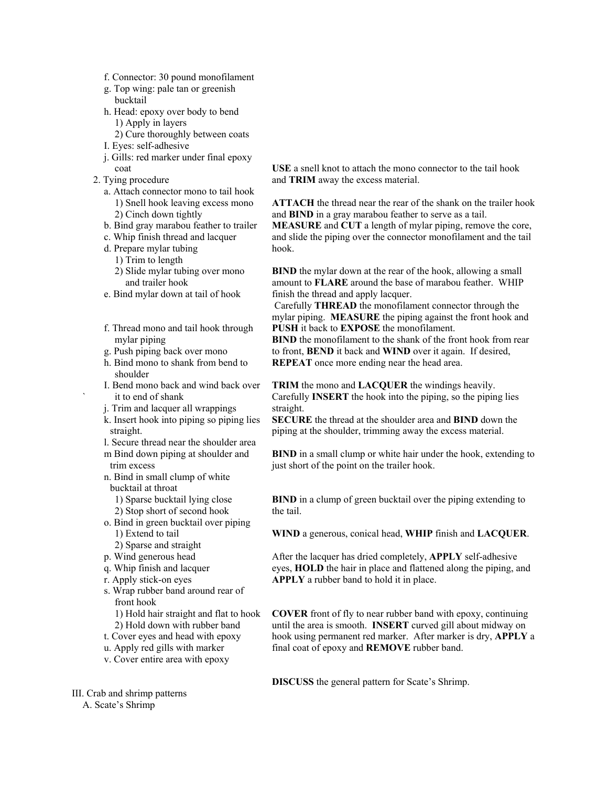- f. Connector: 30 pound monofilament
- g. Top wing: pale tan or greenish bucktail
- h. Head: epoxy over body to bend 1) Apply in layers
- 2) Cure thoroughly between coats
- I. Eyes: self-adhesive
- j. Gills: red marker under final epoxy coat
- 2. Tying procedure
	- a. Attach connector mono to tail hook 1) Snell hook leaving excess mono 2) Cinch down tightly
	- b. Bind gray marabou feather to trailer
	- c. Whip finish thread and lacquer
	- d. Prepare mylar tubing
		- 1) Trim to length
		- 2) Slide mylar tubing over mono and trailer hook
	- e. Bind mylar down at tail of hook
	- f. Thread mono and tail hook through mylar piping
	- g. Push piping back over mono
	- h. Bind mono to shank from bend to shoulder
	- I. Bend mono back and wind back over it to end of shank
	- j. Trim and lacquer all wrappings
	- k. Insert hook into piping so piping lies straight.
	- l. Secure thread near the shoulder area m Bind down piping at shoulder and trim excess
	- n. Bind in small clump of white bucktail at throat
		- 1) Sparse bucktail lying close 2) Stop short of second hook
	- o. Bind in green bucktail over piping 1) Extend to tail 2) Sparse and straight
		-
	- p. Wind generous head
	- q. Whip finish and lacquer
	- r. Apply stick-on eyes
	- s. Wrap rubber band around rear of front hook
	- 1) Hold hair straight and flat to hook 2) Hold down with rubber band
	- t. Cover eyes and head with epoxy
	- u. Apply red gills with marker
	- v. Cover entire area with epoxy

**USE** a snell knot to attach the mono connector to the tail hook and **TRIM** away the excess material.

**ATTACH** the thread near the rear of the shank on the trailer hook and **BIND** in a gray marabou feather to serve as a tail. **MEASURE** and **CUT** a length of mylar piping, remove the core, and slide the piping over the connector monofilament and the tail hook.

**BIND** the mylar down at the rear of the hook, allowing a small amount to **FLARE** around the base of marabou feather. WHIP finish the thread and apply lacquer.

 Carefully **THREAD** the monofilament connector through the mylar piping. **MEASURE** the piping against the front hook and **PUSH** it back to **EXPOSE** the monofilament.

**BIND** the monofilament to the shank of the front hook from rear to front, **BEND** it back and **WIND** over it again. If desired, **REPEAT** once more ending near the head area.

**TRIM** the mono and **LACQUER** the windings heavily. Carefully **INSERT** the hook into the piping, so the piping lies straight.

**SECURE** the thread at the shoulder area and **BIND** down the piping at the shoulder, trimming away the excess material.

**BIND** in a small clump or white hair under the hook, extending to just short of the point on the trailer hook.

**BIND** in a clump of green bucktail over the piping extending to the tail.

**WIND** a generous, conical head, **WHIP** finish and **LACQUER**.

After the lacquer has dried completely, **APPLY** self-adhesive eyes, **HOLD** the hair in place and flattened along the piping, and **APPLY** a rubber band to hold it in place.

**COVER** front of fly to near rubber band with epoxy, continuing until the area is smooth. **INSERT** curved gill about midway on hook using permanent red marker. After marker is dry, **APPLY** a final coat of epoxy and **REMOVE** rubber band.

**DISCUSS** the general pattern for Scate's Shrimp.

III. Crab and shrimp patterns

A. Scate's Shrimp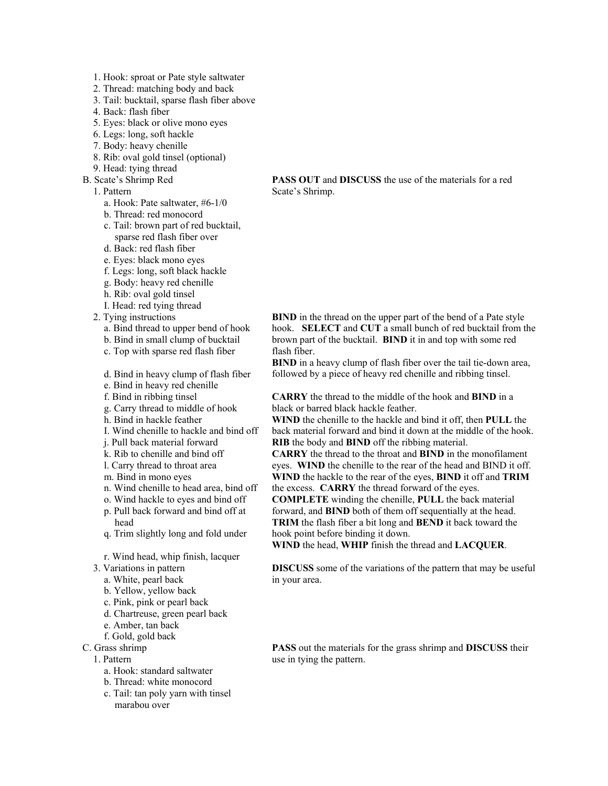- 1. Hook: sproat or Pate style saltwater
- 2. Thread: matching body and back
- 3. Tail: bucktail, sparse flash fiber above
- 4. Back: flash fiber
- 5. Eyes: black or olive mono eyes
- 6. Legs: long, soft hackle
- 7. Body: heavy chenille
- 8. Rib: oval gold tinsel (optional)
- 9. Head: tying thread
- B. Scate's Shrimp Red
	- 1. Pattern
		- a. Hook: Pate saltwater, #6-1/0
		- b. Thread: red monocord
		- c. Tail: brown part of red bucktail, sparse red flash fiber over
		- d. Back: red flash fiber
		- e. Eyes: black mono eyes
		- f. Legs: long, soft black hackle
		- g. Body: heavy red chenille
		- h. Rib: oval gold tinsel
		- I. Head: red tying thread
	- 2. Tying instructions
		- a. Bind thread to upper bend of hook
		- b. Bind in small clump of bucktail
		- c. Top with sparse red flash fiber
		- d. Bind in heavy clump of flash fiber
		- e. Bind in heavy red chenille
		- f. Bind in ribbing tinsel
		- g. Carry thread to middle of hook
		- h. Bind in hackle feather
		- I. Wind chenille to hackle and bind off
		- j. Pull back material forward
		- k. Rib to chenille and bind off
		- l. Carry thread to throat area
		- m. Bind in mono eyes
		- n. Wind chenille to head area, bind off
		- o. Wind hackle to eyes and bind off
		- p. Pull back forward and bind off at head
		- q. Trim slightly long and fold under
		- r. Wind head, whip finish, lacquer
	- 3. Variations in pattern
		- a. White, pearl back
		- b. Yellow, yellow back
		- c. Pink, pink or pearl back
		- d. Chartreuse, green pearl back
		- e. Amber, tan back
		- f. Gold, gold back
- C. Grass shrimp
	- 1. Pattern
		- a. Hook: standard saltwater
		- b. Thread: white monocord
		- c. Tail: tan poly yarn with tinsel marabou over

**PASS OUT** and **DISCUSS** the use of the materials for a red Scate's Shrimp.

**BIND** in the thread on the upper part of the bend of a Pate style hook. **SELECT** and **CUT** a small bunch of red bucktail from the brown part of the bucktail. **BIND** it in and top with some red flash fiber.

**BIND** in a heavy clump of flash fiber over the tail tie-down area, followed by a piece of heavy red chenille and ribbing tinsel.

**CARRY** the thread to the middle of the hook and **BIND** in a black or barred black hackle feather.

**WIND** the chenille to the hackle and bind it off, then **PULL** the back material forward and bind it down at the middle of the hook. **RIB** the body and **BIND** off the ribbing material.

**CARRY** the thread to the throat and **BIND** in the monofilament eyes. **WIND** the chenille to the rear of the head and BIND it off. **WIND** the hackle to the rear of the eyes, **BIND** it off and **TRIM**

the excess. **CARRY** the thread forward of the eyes.

**COMPLETE** winding the chenille, **PULL** the back material forward, and **BIND** both of them off sequentially at the head. **TRIM** the flash fiber a bit long and **BEND** it back toward the hook point before binding it down.

**WIND** the head, **WHIP** finish the thread and **LACQUER**.

**DISCUSS** some of the variations of the pattern that may be useful in your area.

**PASS** out the materials for the grass shrimp and **DISCUSS** their use in tying the pattern.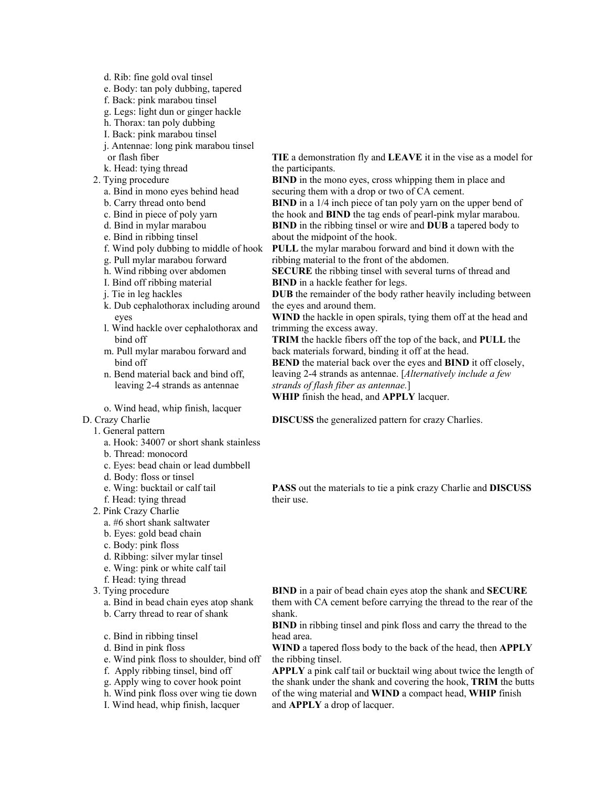- d. Rib: fine gold oval tinsel
- e. Body: tan poly dubbing, tapered
- f. Back: pink marabou tinsel
- g. Legs: light dun or ginger hackle
- h. Thorax: tan poly dubbing
- I. Back: pink marabou tinsel
- j. Antennae: long pink marabou tinsel or flash fiber
- k. Head: tying thread
- 2. Tying procedure
	- a. Bind in mono eyes behind head
	- b. Carry thread onto bend
	- c. Bind in piece of poly yarn
	- d. Bind in mylar marabou
	- e. Bind in ribbing tinsel
	- f. Wind poly dubbing to middle of hook
	- g. Pull mylar marabou forward
	- h. Wind ribbing over abdomen
	- I. Bind off ribbing material
	- j. Tie in leg hackles
	- k. Dub cephalothorax including around eyes
	- l. Wind hackle over cephalothorax and bind off
	- m. Pull mylar marabou forward and bind off
	- n. Bend material back and bind off, leaving 2-4 strands as antennae
	- o. Wind head, whip finish, lacquer

#### D. Crazy Charlie

- 1. General pattern
	- a. Hook: 34007 or short shank stainless
	- b. Thread: monocord
	- c. Eyes: bead chain or lead dumbbell
	- d. Body: floss or tinsel
	- e. Wing: bucktail or calf tail
	- f. Head: tying thread
- 2. Pink Crazy Charlie
	- a. #6 short shank saltwater
	- b. Eyes: gold bead chain
	- c. Body: pink floss
	- d. Ribbing: silver mylar tinsel
	- e. Wing: pink or white calf tail
	- f. Head: tying thread
- 3. Tying procedure
	- a. Bind in bead chain eyes atop shank
	- b. Carry thread to rear of shank
	- c. Bind in ribbing tinsel
	- d. Bind in pink floss
	- e. Wind pink floss to shoulder, bind off
	- f. Apply ribbing tinsel, bind off
	- g. Apply wing to cover hook point
	- h. Wind pink floss over wing tie down
	- I. Wind head, whip finish, lacquer
- **TIE** a demonstration fly and **LEAVE** it in the vise as a model for the participants.
- **BIND** in the mono eyes, cross whipping them in place and securing them with a drop or two of CA cement.
- **BIND** in a  $1/4$  inch piece of tan poly yarn on the upper bend of the hook and **BIND** the tag ends of pearl-pink mylar marabou. **BIND** in the ribbing tinsel or wire and **DUB** a tapered body to about the midpoint of the hook.
- **PULL** the mylar marabou forward and bind it down with the ribbing material to the front of the abdomen.
- **SECURE** the ribbing tinsel with several turns of thread and **BIND** in a hackle feather for legs.
- **DUB** the remainder of the body rather heavily including between the eyes and around them.
- **WIND** the hackle in open spirals, tying them off at the head and trimming the excess away.
- **TRIM** the hackle fibers off the top of the back, and **PULL** the back materials forward, binding it off at the head.
- **BEND** the material back over the eyes and **BIND** it off closely, leaving 2-4 strands as antennae. [*Alternatively include a few strands of flash fiber as antennae.*]

**WHIP** finish the head, and **APPLY** lacquer.

**DISCUSS** the generalized pattern for crazy Charlies.

**PASS** out the materials to tie a pink crazy Charlie and **DISCUSS** their use.

**BIND** in a pair of bead chain eyes atop the shank and **SECURE** them with CA cement before carrying the thread to the rear of the shank.

**BIND** in ribbing tinsel and pink floss and carry the thread to the head area.

**WIND** a tapered floss body to the back of the head, then **APPLY** the ribbing tinsel.

**APPLY** a pink calf tail or bucktail wing about twice the length of the shank under the shank and covering the hook, **TRIM** the butts of the wing material and **WIND** a compact head, **WHIP** finish and **APPLY** a drop of lacquer.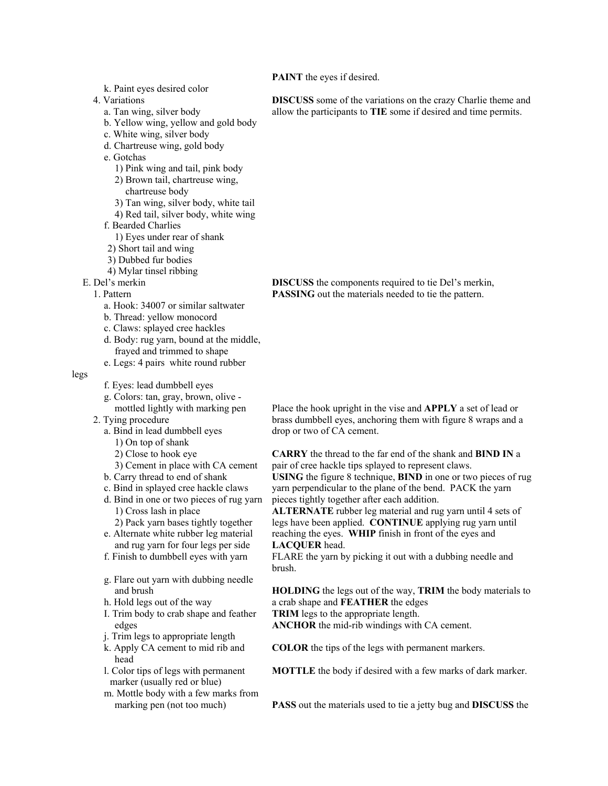**PAINT** the eyes if desired.

- k. Paint eyes desired color
- 4. Variations
	- a. Tan wing, silver body
	- b. Yellow wing, yellow and gold body
	- c. White wing, silver body
	- d. Chartreuse wing, gold body
	- e. Gotchas
		- 1) Pink wing and tail, pink body
		- 2) Brown tail, chartreuse wing, chartreuse body
		- 3) Tan wing, silver body, white tail
		- 4) Red tail, silver body, white wing
	- f. Bearded Charlies
		- 1) Eyes under rear of shank
	- 2) Short tail and wing
	- 3) Dubbed fur bodies
	- 4) Mylar tinsel ribbing

E. Del's merkin

- 1. Pattern
	- a. Hook: 34007 or similar saltwater
	- b. Thread: yellow monocord
	- c. Claws: splayed cree hackles
	- d. Body: rug yarn, bound at the middle, frayed and trimmed to shape
	- e. Legs: 4 pairs white round rubber
- legs

f. Eyes: lead dumbbell eyes

- g. Colors: tan, gray, brown, olive mottled lightly with marking pen
- 2. Tying procedure
	- a. Bind in lead dumbbell eyes
		- 1) On top of shank
		- 2) Close to hook eye
	- 3) Cement in place with CA cement
	- b. Carry thread to end of shank
	- c. Bind in splayed cree hackle claws
	- d. Bind in one or two pieces of rug yarn 1) Cross lash in place 2) Pack yarn bases tightly together
	- e. Alternate white rubber leg material and rug yarn for four legs per side
	- f. Finish to dumbbell eyes with yarn
	- g. Flare out yarn with dubbing needle and brush
	- h. Hold legs out of the way
	- I. Trim body to crab shape and feather edges
	- j. Trim legs to appropriate length
	- k. Apply CA cement to mid rib and head
	- l. Color tips of legs with permanent marker (usually red or blue)
	- m. Mottle body with a few marks from marking pen (not too much)

**DISCUSS** some of the variations on the crazy Charlie theme and allow the participants to **TIE** some if desired and time permits.

**DISCUSS** the components required to tie Del's merkin, **PASSING** out the materials needed to tie the pattern.

Place the hook upright in the vise and **APPLY** a set of lead or brass dumbbell eyes, anchoring them with figure 8 wraps and a drop or two of CA cement.

**CARRY** the thread to the far end of the shank and **BIND IN** a pair of cree hackle tips splayed to represent claws. **USING** the figure 8 technique, **BIND** in one or two pieces of rug yarn perpendicular to the plane of the bend. PACK the yarn pieces tightly together after each addition.

**ALTERNATE** rubber leg material and rug yarn until 4 sets of legs have been applied. **CONTINUE** applying rug yarn until reaching the eyes. **WHIP** finish in front of the eyes and **LACQUER** head.

FLARE the yarn by picking it out with a dubbing needle and brush.

**HOLDING** the legs out of the way, **TRIM** the body materials to a crab shape and **FEATHER** the edges

**TRIM** legs to the appropriate length.

**ANCHOR** the mid-rib windings with CA cement.

**COLOR** the tips of the legs with permanent markers.

**MOTTLE** the body if desired with a few marks of dark marker.

**PASS** out the materials used to tie a jetty bug and **DISCUSS** the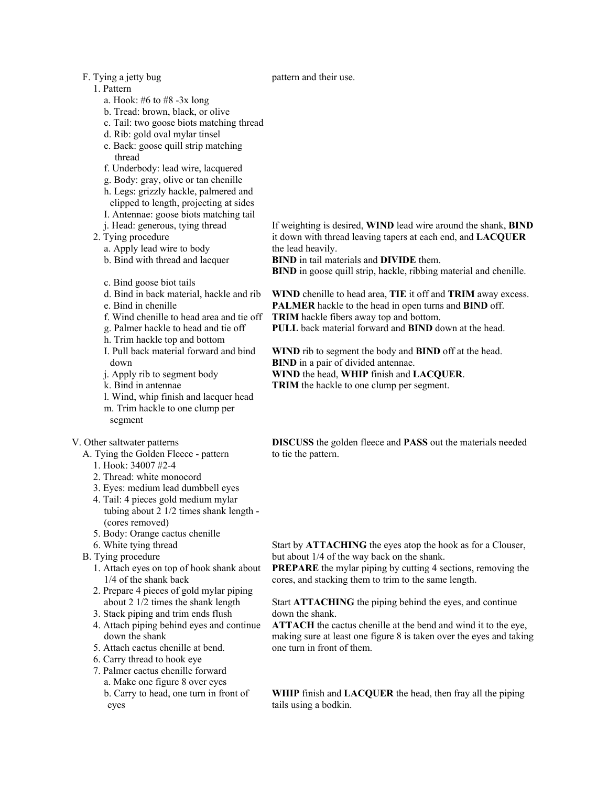### F. Tying a jetty bug

### 1. Pattern

- a. Hook: #6 to #8 -3x long
- b. Tread: brown, black, or olive
- c. Tail: two goose biots matching thread
- d. Rib: gold oval mylar tinsel
- e. Back: goose quill strip matching thread
- f. Underbody: lead wire, lacquered
- g. Body: gray, olive or tan chenille
- h. Legs: grizzly hackle, palmered and
- clipped to length, projecting at sides
- I. Antennae: goose biots matching tail
- j. Head: generous, tying thread

2. Tying procedure

- a. Apply lead wire to body
- b. Bind with thread and lacquer
- c. Bind goose biot tails
- d. Bind in back material, hackle and rib
- e. Bind in chenille
- f. Wind chenille to head area and tie off
- g. Palmer hackle to head and tie off
- h. Trim hackle top and bottom
- I. Pull back material forward and bind down
- j. Apply rib to segment body
- k. Bind in antennae
- l. Wind, whip finish and lacquer head m. Trim hackle to one clump per segment

#### V. Other saltwater patterns

- A. Tying the Golden Fleece pattern
	- 1. Hook: 34007 #2-4
	- 2. Thread: white monocord
	- 3. Eyes: medium lead dumbbell eyes
	- 4. Tail: 4 pieces gold medium mylar tubing about 2 1/2 times shank length -
	- (cores removed)
	- 5. Body: Orange cactus chenille
	- 6. White tying thread
- B. Tying procedure
	- 1. Attach eyes on top of hook shank about 1/4 of the shank back
	- 2. Prepare 4 pieces of gold mylar piping about 2 1/2 times the shank length
	- 3. Stack piping and trim ends flush
	- 4. Attach piping behind eyes and continue down the shank
	- 5. Attach cactus chenille at bend.
	- 6. Carry thread to hook eye
	- 7. Palmer cactus chenille forward a. Make one figure 8 over eyes b. Carry to head, one turn in front of eyes

If weighting is desired, **WIND** lead wire around the shank, **BIND** it down with thread leaving tapers at each end, and **LACQUER** the lead heavily.

**BIND** in tail materials and **DIVIDE** them.

**BIND** in goose quill strip, hackle, ribbing material and chenille.

**WIND** chenille to head area, **TIE** it off and **TRIM** away excess. **PALMER** hackle to the head in open turns and **BIND** off. **TRIM** hackle fibers away top and bottom.

**PULL** back material forward and **BIND** down at the head.

**WIND** rib to segment the body and **BIND** off at the head. **BIND** in a pair of divided antennae. **WIND** the head, **WHIP** finish and **LACQUER**. **TRIM** the hackle to one clump per segment.

**DISCUSS** the golden fleece and **PASS** out the materials needed to tie the pattern.

Start by **ATTACHING** the eyes atop the hook as for a Clouser, but about 1/4 of the way back on the shank.

**PREPARE** the mylar piping by cutting 4 sections, removing the cores, and stacking them to trim to the same length.

Start **ATTACHING** the piping behind the eyes, and continue down the shank.

**ATTACH** the cactus chenille at the bend and wind it to the eye, making sure at least one figure 8 is taken over the eyes and taking one turn in front of them.

**WHIP** finish and **LACQUER** the head, then fray all the piping tails using a bodkin.

#### pattern and their use.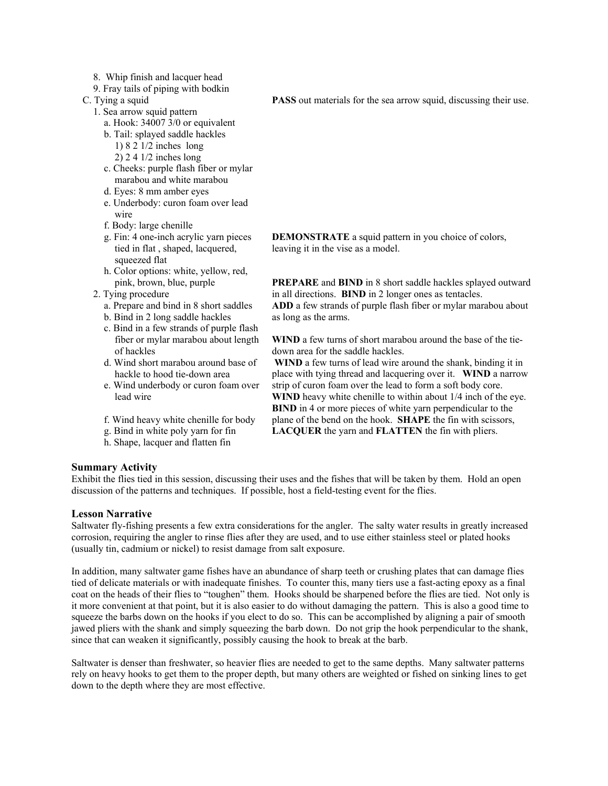- 8. Whip finish and lacquer head
- 9. Fray tails of piping with bodkin

C. Tying a squid

- 1. Sea arrow squid pattern
	- a. Hook: 34007 3/0 or equivalent b. Tail: splayed saddle hackles
		- 1) 8 2 1/2 inches long
		- 2) 2 4 1/2 inches long
	- c. Cheeks: purple flash fiber or mylar marabou and white marabou
	- d. Eyes: 8 mm amber eyes
	- e. Underbody: curon foam over lead wire
	- f. Body: large chenille
	- g. Fin: 4 one-inch acrylic yarn pieces tied in flat , shaped, lacquered, squeezed flat
	- h. Color options: white, yellow, red, pink, brown, blue, purple
- 2. Tying procedure
	- a. Prepare and bind in 8 short saddles
	- b. Bind in 2 long saddle hackles
	- c. Bind in a few strands of purple flash fiber or mylar marabou about length of hackles
	- d. Wind short marabou around base of hackle to hood tie-down area
	- e. Wind underbody or curon foam over lead wire
	- f. Wind heavy white chenille for body
	- g. Bind in white poly yarn for fin
	- h. Shape, lacquer and flatten fin

**PASS** out materials for the sea arrow squid, discussing their use.

**DEMONSTRATE** a squid pattern in you choice of colors, leaving it in the vise as a model.

**PREPARE** and **BIND** in 8 short saddle hackles splayed outward in all directions. **BIND** in 2 longer ones as tentacles. **ADD** a few strands of purple flash fiber or mylar marabou about as long as the arms.

**WIND** a few turns of short marabou around the base of the tiedown area for the saddle hackles.

 **WIND** a few turns of lead wire around the shank, binding it in place with tying thread and lacquering over it. **WIND** a narrow strip of curon foam over the lead to form a soft body core. **WIND** heavy white chenille to within about 1/4 inch of the eye. **BIND** in 4 or more pieces of white yarn perpendicular to the plane of the bend on the hook. **SHAPE** the fin with scissors, **LACQUER** the yarn and **FLATTEN** the fin with pliers.

### **Summary Activity**

Exhibit the flies tied in this session, discussing their uses and the fishes that will be taken by them. Hold an open discussion of the patterns and techniques. If possible, host a field-testing event for the flies.

### **Lesson Narrative**

Saltwater fly-fishing presents a few extra considerations for the angler. The salty water results in greatly increased corrosion, requiring the angler to rinse flies after they are used, and to use either stainless steel or plated hooks (usually tin, cadmium or nickel) to resist damage from salt exposure.

In addition, many saltwater game fishes have an abundance of sharp teeth or crushing plates that can damage flies tied of delicate materials or with inadequate finishes. To counter this, many tiers use a fast-acting epoxy as a final coat on the heads of their flies to "toughen" them. Hooks should be sharpened before the flies are tied. Not only is it more convenient at that point, but it is also easier to do without damaging the pattern. This is also a good time to squeeze the barbs down on the hooks if you elect to do so. This can be accomplished by aligning a pair of smooth jawed pliers with the shank and simply squeezing the barb down. Do not grip the hook perpendicular to the shank, since that can weaken it significantly, possibly causing the hook to break at the barb.

Saltwater is denser than freshwater, so heavier flies are needed to get to the same depths. Many saltwater patterns rely on heavy hooks to get them to the proper depth, but many others are weighted or fished on sinking lines to get down to the depth where they are most effective.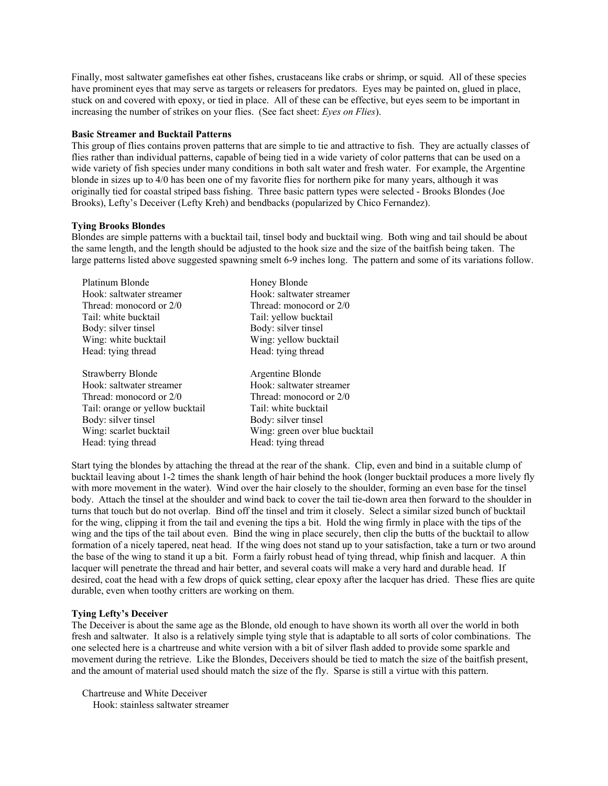Finally, most saltwater gamefishes eat other fishes, crustaceans like crabs or shrimp, or squid. All of these species have prominent eyes that may serve as targets or releasers for predators. Eyes may be painted on, glued in place, stuck on and covered with epoxy, or tied in place. All of these can be effective, but eyes seem to be important in increasing the number of strikes on your flies. (See fact sheet: *Eyes on Flies*).

#### **Basic Streamer and Bucktail Patterns**

This group of flies contains proven patterns that are simple to tie and attractive to fish. They are actually classes of flies rather than individual patterns, capable of being tied in a wide variety of color patterns that can be used on a wide variety of fish species under many conditions in both salt water and fresh water. For example, the Argentine blonde in sizes up to 4/0 has been one of my favorite flies for northern pike for many years, although it was originally tied for coastal striped bass fishing. Three basic pattern types were selected - Brooks Blondes (Joe Brooks), Lefty's Deceiver (Lefty Kreh) and bendbacks (popularized by Chico Fernandez).

### **Tying Brooks Blondes**

Blondes are simple patterns with a bucktail tail, tinsel body and bucktail wing. Both wing and tail should be about the same length, and the length should be adjusted to the hook size and the size of the baitfish being taken. The large patterns listed above suggested spawning smelt 6-9 inches long. The pattern and some of its variations follow.

| Platinum Blonde                 | Honey Blonde                   |
|---------------------------------|--------------------------------|
| Hook: saltwater streamer        | Hook: saltwater streamer       |
| Thread: monocord or 2/0         | Thread: monocord or 2/0        |
| Tail: white bucktail            | Tail: yellow bucktail          |
| Body: silver tinsel             | Body: silver tinsel            |
| Wing: white bucktail            | Wing: yellow bucktail          |
| Head: tying thread              | Head: tying thread             |
|                                 |                                |
| <b>Strawberry Blonde</b>        | Argentine Blonde               |
| Hook: saltwater streamer        | Hook: saltwater streamer       |
| Thread: monocord or 2/0         | Thread: monocord or 2/0        |
| Tail: orange or yellow bucktail | Tail: white bucktail           |
| Body: silver tinsel             | Body: silver tinsel            |
| Wing: scarlet bucktail          | Wing: green over blue bucktail |
| Head: tying thread              | Head: tying thread             |
|                                 |                                |

Start tying the blondes by attaching the thread at the rear of the shank. Clip, even and bind in a suitable clump of bucktail leaving about 1-2 times the shank length of hair behind the hook (longer bucktail produces a more lively fly with more movement in the water). Wind over the hair closely to the shoulder, forming an even base for the tinsel body. Attach the tinsel at the shoulder and wind back to cover the tail tie-down area then forward to the shoulder in turns that touch but do not overlap. Bind off the tinsel and trim it closely. Select a similar sized bunch of bucktail for the wing, clipping it from the tail and evening the tips a bit. Hold the wing firmly in place with the tips of the wing and the tips of the tail about even. Bind the wing in place securely, then clip the butts of the bucktail to allow formation of a nicely tapered, neat head. If the wing does not stand up to your satisfaction, take a turn or two around the base of the wing to stand it up a bit. Form a fairly robust head of tying thread, whip finish and lacquer. A thin lacquer will penetrate the thread and hair better, and several coats will make a very hard and durable head. If desired, coat the head with a few drops of quick setting, clear epoxy after the lacquer has dried. These flies are quite durable, even when toothy critters are working on them.

### **Tying Lefty's Deceiver**

The Deceiver is about the same age as the Blonde, old enough to have shown its worth all over the world in both fresh and saltwater. It also is a relatively simple tying style that is adaptable to all sorts of color combinations. The one selected here is a chartreuse and white version with a bit of silver flash added to provide some sparkle and movement during the retrieve. Like the Blondes, Deceivers should be tied to match the size of the baitfish present, and the amount of material used should match the size of the fly. Sparse is still a virtue with this pattern.

Chartreuse and White Deceiver Hook: stainless saltwater streamer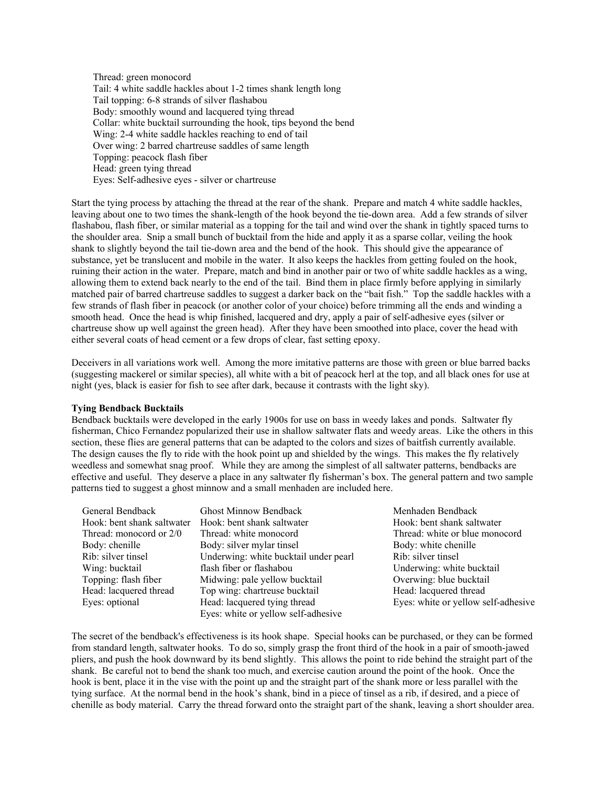Thread: green monocord Tail: 4 white saddle hackles about 1-2 times shank length long Tail topping: 6-8 strands of silver flashabou Body: smoothly wound and lacquered tying thread Collar: white bucktail surrounding the hook, tips beyond the bend Wing: 2-4 white saddle hackles reaching to end of tail Over wing: 2 barred chartreuse saddles of same length Topping: peacock flash fiber Head: green tying thread Eyes: Self-adhesive eyes - silver or chartreuse

Start the tying process by attaching the thread at the rear of the shank. Prepare and match 4 white saddle hackles, leaving about one to two times the shank-length of the hook beyond the tie-down area. Add a few strands of silver flashabou, flash fiber, or similar material as a topping for the tail and wind over the shank in tightly spaced turns to the shoulder area. Snip a small bunch of bucktail from the hide and apply it as a sparse collar, veiling the hook shank to slightly beyond the tail tie-down area and the bend of the hook. This should give the appearance of substance, yet be translucent and mobile in the water. It also keeps the hackles from getting fouled on the hook, ruining their action in the water. Prepare, match and bind in another pair or two of white saddle hackles as a wing, allowing them to extend back nearly to the end of the tail. Bind them in place firmly before applying in similarly matched pair of barred chartreuse saddles to suggest a darker back on the "bait fish." Top the saddle hackles with a few strands of flash fiber in peacock (or another color of your choice) before trimming all the ends and winding a smooth head. Once the head is whip finished, lacquered and dry, apply a pair of self-adhesive eyes (silver or chartreuse show up well against the green head). After they have been smoothed into place, cover the head with either several coats of head cement or a few drops of clear, fast setting epoxy.

Deceivers in all variations work well. Among the more imitative patterns are those with green or blue barred backs (suggesting mackerel or similar species), all white with a bit of peacock herl at the top, and all black ones for use at night (yes, black is easier for fish to see after dark, because it contrasts with the light sky).

#### **Tying Bendback Bucktails**

Bendback bucktails were developed in the early 1900s for use on bass in weedy lakes and ponds. Saltwater fly fisherman, Chico Fernandez popularized their use in shallow saltwater flats and weedy areas. Like the others in this section, these flies are general patterns that can be adapted to the colors and sizes of baitfish currently available. The design causes the fly to ride with the hook point up and shielded by the wings. This makes the fly relatively weedless and somewhat snag proof. While they are among the simplest of all saltwater patterns, bendbacks are effective and useful. They deserve a place in any saltwater fly fisherman's box. The general pattern and two sample patterns tied to suggest a ghost minnow and a small menhaden are included here.

| General Bendback           | <b>Ghost Minnow Bendback</b>        |
|----------------------------|-------------------------------------|
| Hook: bent shank saltwater | Hook: bent shank saltwater          |
| Thread: monocord or 2/0    | Thread: white monocord              |
| Body: chenille             | Body: silver mylar tinsel           |
| Rib: silver tinsel         | Underwing: white bucktail under pea |
| Wing: bucktail             | flash fiber or flashabou            |
| Topping: flash fiber       | Midwing: pale yellow bucktail       |
| Head: lacquered thread     | Top wing: chartreuse bucktail       |
| Eyes: optional             | Head: lacquered tying thread        |
|                            | Eyes: white or yellow self-adhesive |

Menhaden Bendback Hook: bent shank saltwater Thread: white or blue monocord Body: white chenille rl Rib: silver tinsel Underwing: white bucktail Overwing: blue bucktail Head: lacquered thread Eyes: white or yellow self-adhesive

The secret of the bendback's effectiveness is its hook shape. Special hooks can be purchased, or they can be formed from standard length, saltwater hooks. To do so, simply grasp the front third of the hook in a pair of smooth-jawed pliers, and push the hook downward by its bend slightly. This allows the point to ride behind the straight part of the shank. Be careful not to bend the shank too much, and exercise caution around the point of the hook. Once the hook is bent, place it in the vise with the point up and the straight part of the shank more or less parallel with the tying surface. At the normal bend in the hook's shank, bind in a piece of tinsel as a rib, if desired, and a piece of chenille as body material. Carry the thread forward onto the straight part of the shank, leaving a short shoulder area.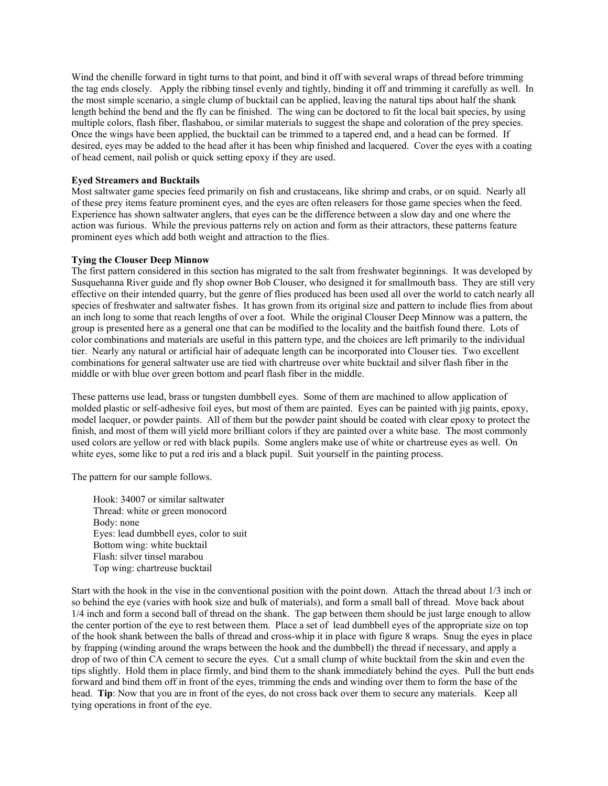Wind the chenille forward in tight turns to that point, and bind it off with several wraps of thread before trimming the tag ends closely. Apply the ribbing tinsel evenly and tightly, binding it off and trimming it carefully as well. In the most simple scenario, a single clump of bucktail can be applied, leaving the natural tips about half the shank length behind the bend and the fly can be finished. The wing can be doctored to fit the local bait species, by using multiple colors, flash fiber, flashabou, or similar materials to suggest the shape and coloration of the prey species. Once the wings have been applied, the bucktail can be trimmed to a tapered end, and a head can be formed. If desired, eyes may be added to the head after it has been whip finished and lacquered. Cover the eyes with a coating of head cement, nail polish or quick setting epoxy if they are used.

### **Eyed Streamers and Bucktails**

Most saltwater game species feed primarily on fish and crustaceans, like shrimp and crabs, or on squid. Nearly all of these prey items feature prominent eyes, and the eyes are often releasers for those game species when the feed. Experience has shown saltwater anglers, that eyes can be the difference between a slow day and one where the action was furious. While the previous patterns rely on action and form as their attractors, these patterns feature prominent eyes which add both weight and attraction to the flies.

#### **Tying the Clouser Deep Minnow**

The first pattern considered in this section has migrated to the salt from freshwater beginnings. It was developed by Susquehanna River guide and fly shop owner Bob Clouser, who designed it for smallmouth bass. They are still very effective on their intended quarry, but the genre of flies produced has been used all over the world to catch nearly all species of freshwater and saltwater fishes. It has grown from its original size and pattern to include flies from about an inch long to some that reach lengths of over a foot. While the original Clouser Deep Minnow was a pattern, the group is presented here as a general one that can be modified to the locality and the baitfish found there. Lots of color combinations and materials are useful in this pattern type, and the choices are left primarily to the individual tier. Nearly any natural or artificial hair of adequate length can be incorporated into Clouser ties. Two excellent combinations for general saltwater use are tied with chartreuse over white bucktail and silver flash fiber in the middle or with blue over green bottom and pearl flash fiber in the middle.

These patterns use lead, brass or tungsten dumbbell eyes. Some of them are machined to allow application of molded plastic or self-adhesive foil eyes, but most of them are painted. Eyes can be painted with jig paints, epoxy, model lacquer, or powder paints. All of them but the powder paint should be coated with clear epoxy to protect the finish, and most of them will yield more brilliant colors if they are painted over a white base. The most commonly used colors are yellow or red with black pupils. Some anglers make use of white or chartreuse eyes as well. On white eyes, some like to put a red iris and a black pupil. Suit yourself in the painting process.

The pattern for our sample follows.

Hook: 34007 or similar saltwater Thread: white or green monocord Body: none Eyes: lead dumbbell eyes, color to suit Bottom wing: white bucktail Flash: silver tinsel marabou Top wing: chartreuse bucktail

Start with the hook in the vise in the conventional position with the point down. Attach the thread about 1/3 inch or so behind the eye (varies with hook size and bulk of materials), and form a small ball of thread. Move back about 1/4 inch and form a second ball of thread on the shank. The gap between them should be just large enough to allow the center portion of the eye to rest between them. Place a set of lead dumbbell eyes of the appropriate size on top of the hook shank between the balls of thread and cross-whip it in place with figure 8 wraps. Snug the eyes in place by frapping (winding around the wraps between the hook and the dumbbell) the thread if necessary, and apply a drop of two of thin CA cement to secure the eyes. Cut a small clump of white bucktail from the skin and even the tips slightly. Hold them in place firmly, and bind them to the shank immediately behind the eyes. Pull the butt ends forward and bind them off in front of the eyes, trimming the ends and winding over them to form the base of the head. **Tip**: Now that you are in front of the eyes, do not cross back over them to secure any materials. Keep all tying operations in front of the eye.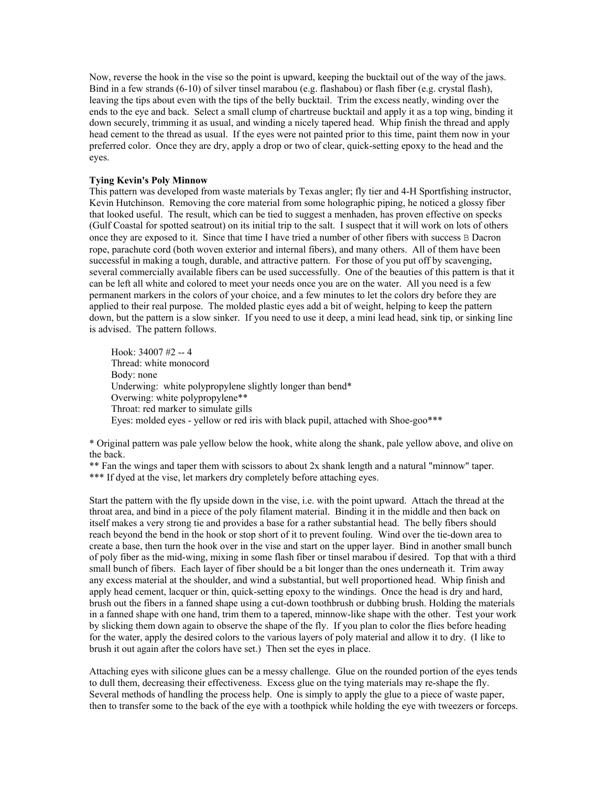Now, reverse the hook in the vise so the point is upward, keeping the bucktail out of the way of the jaws. Bind in a few strands (6-10) of silver tinsel marabou (e.g. flashabou) or flash fiber (e.g. crystal flash), leaving the tips about even with the tips of the belly bucktail. Trim the excess neatly, winding over the ends to the eye and back. Select a small clump of chartreuse bucktail and apply it as a top wing, binding it down securely, trimming it as usual, and winding a nicely tapered head. Whip finish the thread and apply head cement to the thread as usual. If the eyes were not painted prior to this time, paint them now in your preferred color. Once they are dry, apply a drop or two of clear, quick-setting epoxy to the head and the eyes.

### **Tying Kevin's Poly Minnow**

This pattern was developed from waste materials by Texas angler; fly tier and 4-H Sportfishing instructor, Kevin Hutchinson. Removing the core material from some holographic piping, he noticed a glossy fiber that looked useful. The result, which can be tied to suggest a menhaden, has proven effective on specks (Gulf Coastal for spotted seatrout) on its initial trip to the salt. I suspect that it will work on lots of others once they are exposed to it. Since that time I have tried a number of other fibers with success B Dacron rope, parachute cord (both woven exterior and internal fibers), and many others. All of them have been successful in making a tough, durable, and attractive pattern. For those of you put off by scavenging, several commercially available fibers can be used successfully. One of the beauties of this pattern is that it can be left all white and colored to meet your needs once you are on the water. All you need is a few permanent markers in the colors of your choice, and a few minutes to let the colors dry before they are applied to their real purpose. The molded plastic eyes add a bit of weight, helping to keep the pattern down, but the pattern is a slow sinker. If you need to use it deep, a mini lead head, sink tip, or sinking line is advised. The pattern follows.

Hook:  $34007 \#2 - 4$ Thread: white monocord Body: none Underwing: white polypropylene slightly longer than bend\* Overwing: white polypropylene\*\* Throat: red marker to simulate gills Eyes: molded eyes - yellow or red iris with black pupil, attached with Shoe-goo\*\*\*

\* Original pattern was pale yellow below the hook, white along the shank, pale yellow above, and olive on the back.

\*\* Fan the wings and taper them with scissors to about 2x shank length and a natural "minnow" taper.

\*\*\* If dyed at the vise, let markers dry completely before attaching eyes.

Start the pattern with the fly upside down in the vise, i.e. with the point upward. Attach the thread at the throat area, and bind in a piece of the poly filament material. Binding it in the middle and then back on itself makes a very strong tie and provides a base for a rather substantial head. The belly fibers should reach beyond the bend in the hook or stop short of it to prevent fouling. Wind over the tie-down area to create a base, then turn the hook over in the vise and start on the upper layer. Bind in another small bunch of poly fiber as the mid-wing, mixing in some flash fiber or tinsel marabou if desired. Top that with a third small bunch of fibers. Each layer of fiber should be a bit longer than the ones underneath it. Trim away any excess material at the shoulder, and wind a substantial, but well proportioned head. Whip finish and apply head cement, lacquer or thin, quick-setting epoxy to the windings. Once the head is dry and hard, brush out the fibers in a fanned shape using a cut-down toothbrush or dubbing brush. Holding the materials in a fanned shape with one hand, trim them to a tapered, minnow-like shape with the other. Test your work by slicking them down again to observe the shape of the fly. If you plan to color the flies before heading for the water, apply the desired colors to the various layers of poly material and allow it to dry. (I like to brush it out again after the colors have set.) Then set the eyes in place.

Attaching eyes with silicone glues can be a messy challenge. Glue on the rounded portion of the eyes tends to dull them, decreasing their effectiveness. Excess glue on the tying materials may re-shape the fly. Several methods of handling the process help. One is simply to apply the glue to a piece of waste paper, then to transfer some to the back of the eye with a toothpick while holding the eye with tweezers or forceps.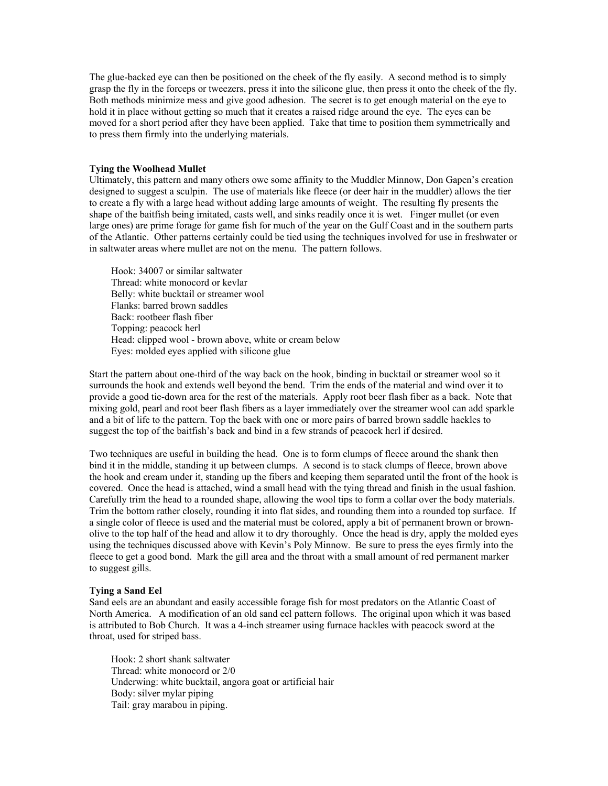The glue-backed eye can then be positioned on the cheek of the fly easily. A second method is to simply grasp the fly in the forceps or tweezers, press it into the silicone glue, then press it onto the cheek of the fly. Both methods minimize mess and give good adhesion. The secret is to get enough material on the eye to hold it in place without getting so much that it creates a raised ridge around the eye. The eyes can be moved for a short period after they have been applied. Take that time to position them symmetrically and to press them firmly into the underlying materials.

#### **Tying the Woolhead Mullet**

Ultimately, this pattern and many others owe some affinity to the Muddler Minnow, Don Gapen's creation designed to suggest a sculpin. The use of materials like fleece (or deer hair in the muddler) allows the tier to create a fly with a large head without adding large amounts of weight. The resulting fly presents the shape of the baitfish being imitated, casts well, and sinks readily once it is wet. Finger mullet (or even large ones) are prime forage for game fish for much of the year on the Gulf Coast and in the southern parts of the Atlantic. Other patterns certainly could be tied using the techniques involved for use in freshwater or in saltwater areas where mullet are not on the menu. The pattern follows.

Hook: 34007 or similar saltwater Thread: white monocord or kevlar Belly: white bucktail or streamer wool Flanks: barred brown saddles Back: rootbeer flash fiber Topping: peacock herl Head: clipped wool - brown above, white or cream below Eyes: molded eyes applied with silicone glue

Start the pattern about one-third of the way back on the hook, binding in bucktail or streamer wool so it surrounds the hook and extends well beyond the bend. Trim the ends of the material and wind over it to provide a good tie-down area for the rest of the materials. Apply root beer flash fiber as a back. Note that mixing gold, pearl and root beer flash fibers as a layer immediately over the streamer wool can add sparkle and a bit of life to the pattern. Top the back with one or more pairs of barred brown saddle hackles to suggest the top of the baitfish's back and bind in a few strands of peacock herl if desired.

Two techniques are useful in building the head. One is to form clumps of fleece around the shank then bind it in the middle, standing it up between clumps. A second is to stack clumps of fleece, brown above the hook and cream under it, standing up the fibers and keeping them separated until the front of the hook is covered. Once the head is attached, wind a small head with the tying thread and finish in the usual fashion. Carefully trim the head to a rounded shape, allowing the wool tips to form a collar over the body materials. Trim the bottom rather closely, rounding it into flat sides, and rounding them into a rounded top surface. If a single color of fleece is used and the material must be colored, apply a bit of permanent brown or brownolive to the top half of the head and allow it to dry thoroughly. Once the head is dry, apply the molded eyes using the techniques discussed above with Kevin's Poly Minnow. Be sure to press the eyes firmly into the fleece to get a good bond. Mark the gill area and the throat with a small amount of red permanent marker to suggest gills.

#### **Tying a Sand Eel**

Sand eels are an abundant and easily accessible forage fish for most predators on the Atlantic Coast of North America. A modification of an old sand eel pattern follows. The original upon which it was based is attributed to Bob Church. It was a 4-inch streamer using furnace hackles with peacock sword at the throat, used for striped bass.

Hook: 2 short shank saltwater Thread: white monocord or 2/0 Underwing: white bucktail, angora goat or artificial hair Body: silver mylar piping Tail: gray marabou in piping.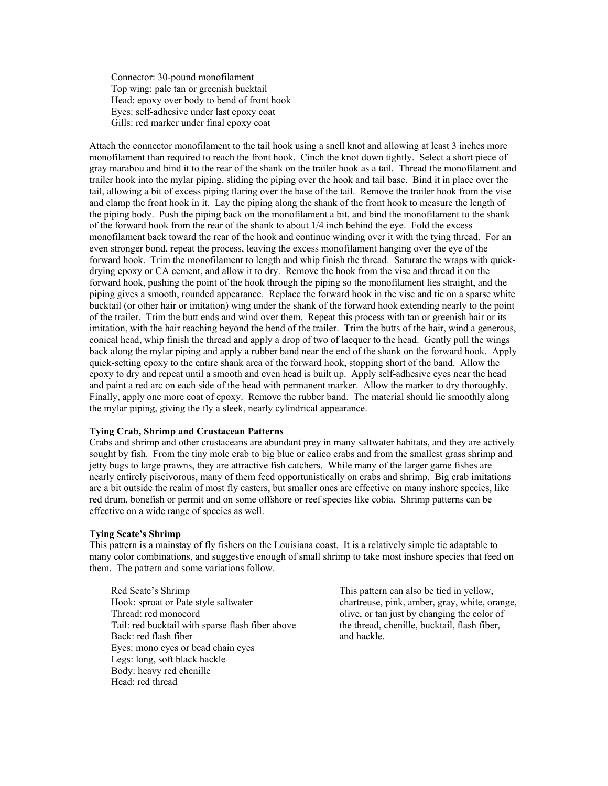Connector: 30-pound monofilament Top wing: pale tan or greenish bucktail Head: epoxy over body to bend of front hook Eyes: self-adhesive under last epoxy coat Gills: red marker under final epoxy coat

Attach the connector monofilament to the tail hook using a snell knot and allowing at least 3 inches more monofilament than required to reach the front hook. Cinch the knot down tightly. Select a short piece of gray marabou and bind it to the rear of the shank on the trailer hook as a tail. Thread the monofilament and trailer hook into the mylar piping, sliding the piping over the hook and tail base. Bind it in place over the tail, allowing a bit of excess piping flaring over the base of the tail. Remove the trailer hook from the vise and clamp the front hook in it. Lay the piping along the shank of the front hook to measure the length of the piping body. Push the piping back on the monofilament a bit, and bind the monofilament to the shank of the forward hook from the rear of the shank to about 1/4 inch behind the eye. Fold the excess monofilament back toward the rear of the hook and continue winding over it with the tying thread. For an even stronger bond, repeat the process, leaving the excess monofilament hanging over the eye of the forward hook. Trim the monofilament to length and whip finish the thread. Saturate the wraps with quickdrying epoxy or CA cement, and allow it to dry. Remove the hook from the vise and thread it on the forward hook, pushing the point of the hook through the piping so the monofilament lies straight, and the piping gives a smooth, rounded appearance. Replace the forward hook in the vise and tie on a sparse white bucktail (or other hair or imitation) wing under the shank of the forward hook extending nearly to the point of the trailer. Trim the butt ends and wind over them. Repeat this process with tan or greenish hair or its imitation, with the hair reaching beyond the bend of the trailer. Trim the butts of the hair, wind a generous, conical head, whip finish the thread and apply a drop of two of lacquer to the head. Gently pull the wings back along the mylar piping and apply a rubber band near the end of the shank on the forward hook. Apply quick-setting epoxy to the entire shank area of the forward hook, stopping short of the band. Allow the epoxy to dry and repeat until a smooth and even head is built up. Apply self-adhesive eyes near the head and paint a red arc on each side of the head with permanent marker. Allow the marker to dry thoroughly. Finally, apply one more coat of epoxy. Remove the rubber band. The material should lie smoothly along the mylar piping, giving the fly a sleek, nearly cylindrical appearance.

### **Tying Crab, Shrimp and Crustacean Patterns**

Crabs and shrimp and other crustaceans are abundant prey in many saltwater habitats, and they are actively sought by fish. From the tiny mole crab to big blue or calico crabs and from the smallest grass shrimp and jetty bugs to large prawns, they are attractive fish catchers. While many of the larger game fishes are nearly entirely piscivorous, many of them feed opportunistically on crabs and shrimp. Big crab imitations are a bit outside the realm of most fly casters, but smaller ones are effective on many inshore species, like red drum, bonefish or permit and on some offshore or reef species like cobia. Shrimp patterns can be effective on a wide range of species as well.

#### **Tying Scate's Shrimp**

This pattern is a mainstay of fly fishers on the Louisiana coast. It is a relatively simple tie adaptable to many color combinations, and suggestive enough of small shrimp to take most inshore species that feed on them. The pattern and some variations follow.

Red Scate's Shrimp This pattern can also be tied in yellow, Hook: sproat or Pate style saltwater chartreuse, pink, amber, gray, white, orange, Thread: red monocord olive, or tan just by changing the color of Tail: red bucktail with sparse flash fiber above the thread, chenille, bucktail, flash fiber, Back: red flash fiber and hackle. Eyes: mono eyes or bead chain eyes Legs: long, soft black hackle Body: heavy red chenille Head: red thread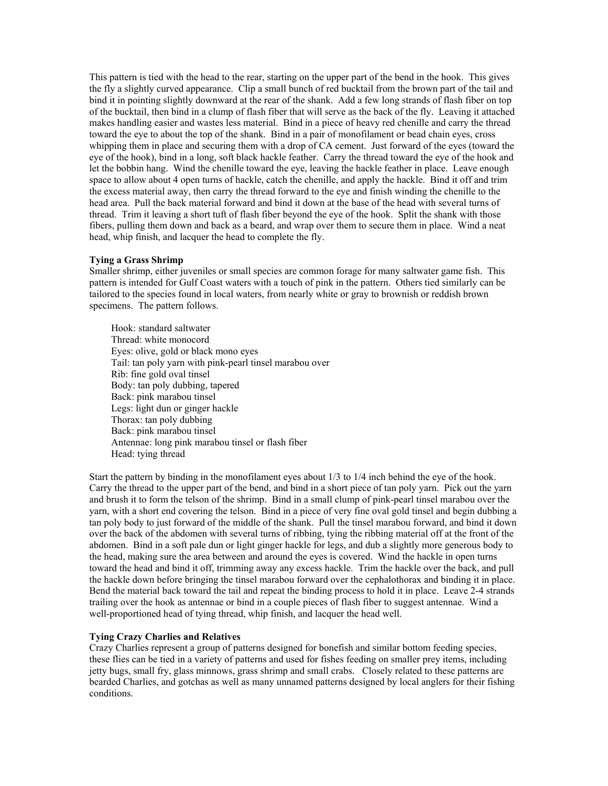This pattern is tied with the head to the rear, starting on the upper part of the bend in the hook. This gives the fly a slightly curved appearance. Clip a small bunch of red bucktail from the brown part of the tail and bind it in pointing slightly downward at the rear of the shank. Add a few long strands of flash fiber on top of the bucktail, then bind in a clump of flash fiber that will serve as the back of the fly. Leaving it attached makes handling easier and wastes less material. Bind in a piece of heavy red chenille and carry the thread toward the eye to about the top of the shank. Bind in a pair of monofilament or bead chain eyes, cross whipping them in place and securing them with a drop of CA cement. Just forward of the eyes (toward the eye of the hook), bind in a long, soft black hackle feather. Carry the thread toward the eye of the hook and let the bobbin hang. Wind the chenille toward the eye, leaving the hackle feather in place. Leave enough space to allow about 4 open turns of hackle, catch the chenille, and apply the hackle. Bind it off and trim the excess material away, then carry the thread forward to the eye and finish winding the chenille to the head area. Pull the back material forward and bind it down at the base of the head with several turns of thread. Trim it leaving a short tuft of flash fiber beyond the eye of the hook. Split the shank with those fibers, pulling them down and back as a beard, and wrap over them to secure them in place. Wind a neat head, whip finish, and lacquer the head to complete the fly.

### **Tying a Grass Shrimp**

Smaller shrimp, either juveniles or small species are common forage for many saltwater game fish. This pattern is intended for Gulf Coast waters with a touch of pink in the pattern. Others tied similarly can be tailored to the species found in local waters, from nearly white or gray to brownish or reddish brown specimens. The pattern follows.

Hook: standard saltwater Thread: white monocord Eyes: olive, gold or black mono eyes Tail: tan poly yarn with pink-pearl tinsel marabou over Rib: fine gold oval tinsel Body: tan poly dubbing, tapered Back: pink marabou tinsel Legs: light dun or ginger hackle Thorax: tan poly dubbing Back: pink marabou tinsel Antennae: long pink marabou tinsel or flash fiber Head: tying thread

Start the pattern by binding in the monofilament eyes about 1/3 to 1/4 inch behind the eye of the hook. Carry the thread to the upper part of the bend, and bind in a short piece of tan poly yarn. Pick out the yarn and brush it to form the telson of the shrimp. Bind in a small clump of pink-pearl tinsel marabou over the yarn, with a short end covering the telson. Bind in a piece of very fine oval gold tinsel and begin dubbing a tan poly body to just forward of the middle of the shank. Pull the tinsel marabou forward, and bind it down over the back of the abdomen with several turns of ribbing, tying the ribbing material off at the front of the abdomen. Bind in a soft pale dun or light ginger hackle for legs, and dub a slightly more generous body to the head, making sure the area between and around the eyes is covered. Wind the hackle in open turns toward the head and bind it off, trimming away any excess hackle. Trim the hackle over the back, and pull the hackle down before bringing the tinsel marabou forward over the cephalothorax and binding it in place. Bend the material back toward the tail and repeat the binding process to hold it in place. Leave 2-4 strands trailing over the hook as antennae or bind in a couple pieces of flash fiber to suggest antennae. Wind a well-proportioned head of tying thread, whip finish, and lacquer the head well.

#### **Tying Crazy Charlies and Relatives**

Crazy Charlies represent a group of patterns designed for bonefish and similar bottom feeding species, these flies can be tied in a variety of patterns and used for fishes feeding on smaller prey items, including jetty bugs, small fry, glass minnows, grass shrimp and small crabs. Closely related to these patterns are bearded Charlies, and gotchas as well as many unnamed patterns designed by local anglers for their fishing conditions.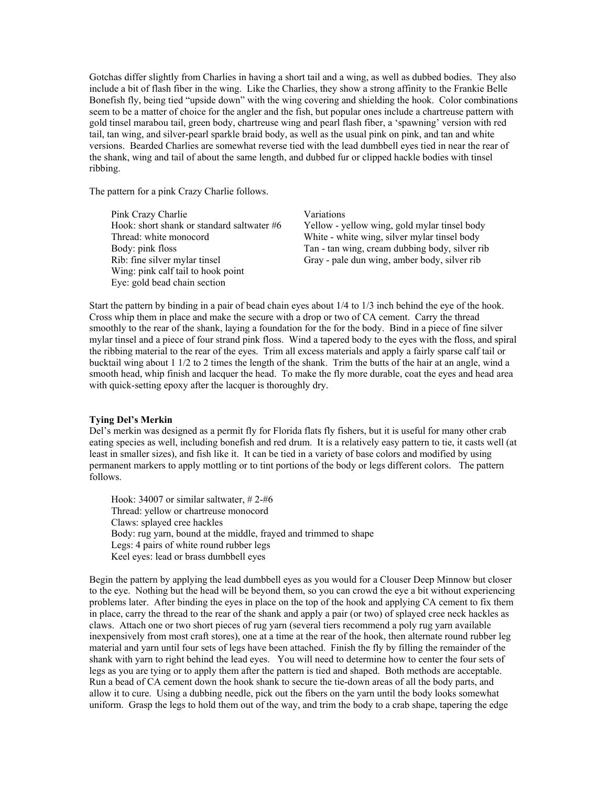Gotchas differ slightly from Charlies in having a short tail and a wing, as well as dubbed bodies. They also include a bit of flash fiber in the wing. Like the Charlies, they show a strong affinity to the Frankie Belle Bonefish fly, being tied "upside down" with the wing covering and shielding the hook. Color combinations seem to be a matter of choice for the angler and the fish, but popular ones include a chartreuse pattern with gold tinsel marabou tail, green body, chartreuse wing and pearl flash fiber, a 'spawning' version with red tail, tan wing, and silver-pearl sparkle braid body, as well as the usual pink on pink, and tan and white versions. Bearded Charlies are somewhat reverse tied with the lead dumbbell eyes tied in near the rear of the shank, wing and tail of about the same length, and dubbed fur or clipped hackle bodies with tinsel ribbing.

The pattern for a pink Crazy Charlie follows.

| Pink Crazy Charlie                         | <b>Variations</b>                              |
|--------------------------------------------|------------------------------------------------|
| Hook: short shank or standard saltwater #6 | Yellow - yellow wing, gold mylar tinsel body   |
| Thread: white monocord                     | White - white wing, silver mylar tinsel body   |
| Body: pink floss                           | Tan - tan wing, cream dubbing body, silver rib |
| Rib: fine silver mylar tinsel              | Gray - pale dun wing, amber body, silver rib   |
| Wing: pink calf tail to hook point         |                                                |
| Eye: gold bead chain section               |                                                |

Start the pattern by binding in a pair of bead chain eyes about 1/4 to 1/3 inch behind the eye of the hook. Cross whip them in place and make the secure with a drop or two of CA cement. Carry the thread smoothly to the rear of the shank, laying a foundation for the for the body. Bind in a piece of fine silver mylar tinsel and a piece of four strand pink floss. Wind a tapered body to the eyes with the floss, and spiral the ribbing material to the rear of the eyes. Trim all excess materials and apply a fairly sparse calf tail or bucktail wing about 1 1/2 to 2 times the length of the shank. Trim the butts of the hair at an angle, wind a smooth head, whip finish and lacquer the head. To make the fly more durable, coat the eyes and head area with quick-setting epoxy after the lacquer is thoroughly dry.

#### **Tying Del's Merkin**

Del's merkin was designed as a permit fly for Florida flats fly fishers, but it is useful for many other crab eating species as well, including bonefish and red drum. It is a relatively easy pattern to tie, it casts well (at least in smaller sizes), and fish like it. It can be tied in a variety of base colors and modified by using permanent markers to apply mottling or to tint portions of the body or legs different colors. The pattern follows.

Hook: 34007 or similar saltwater, # 2-#6 Thread: yellow or chartreuse monocord Claws: splayed cree hackles Body: rug yarn, bound at the middle, frayed and trimmed to shape Legs: 4 pairs of white round rubber legs Keel eyes: lead or brass dumbbell eyes

Begin the pattern by applying the lead dumbbell eyes as you would for a Clouser Deep Minnow but closer to the eye. Nothing but the head will be beyond them, so you can crowd the eye a bit without experiencing problems later. After binding the eyes in place on the top of the hook and applying CA cement to fix them in place, carry the thread to the rear of the shank and apply a pair (or two) of splayed cree neck hackles as claws. Attach one or two short pieces of rug yarn (several tiers recommend a poly rug yarn available inexpensively from most craft stores), one at a time at the rear of the hook, then alternate round rubber leg material and yarn until four sets of legs have been attached. Finish the fly by filling the remainder of the shank with yarn to right behind the lead eyes. You will need to determine how to center the four sets of legs as you are tying or to apply them after the pattern is tied and shaped. Both methods are acceptable. Run a bead of CA cement down the hook shank to secure the tie-down areas of all the body parts, and allow it to cure. Using a dubbing needle, pick out the fibers on the yarn until the body looks somewhat uniform. Grasp the legs to hold them out of the way, and trim the body to a crab shape, tapering the edge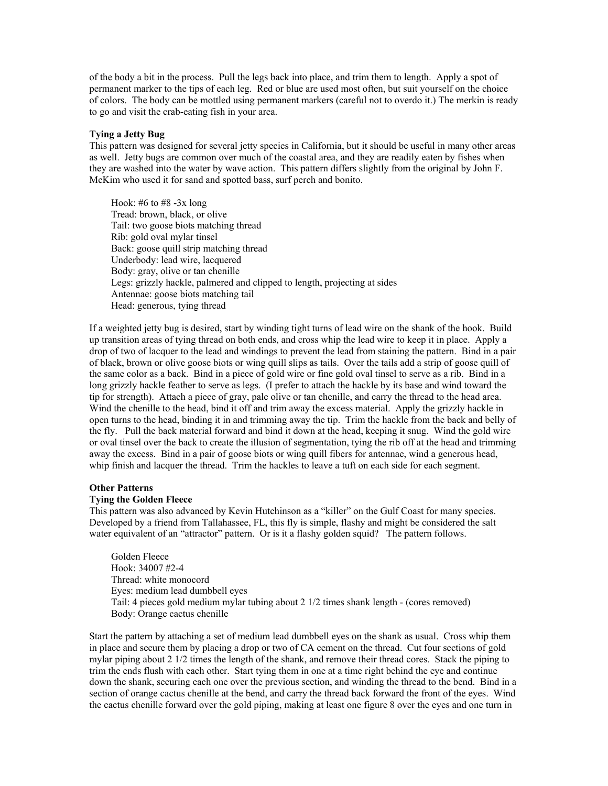of the body a bit in the process. Pull the legs back into place, and trim them to length. Apply a spot of permanent marker to the tips of each leg. Red or blue are used most often, but suit yourself on the choice of colors. The body can be mottled using permanent markers (careful not to overdo it.) The merkin is ready to go and visit the crab-eating fish in your area.

#### **Tying a Jetty Bug**

This pattern was designed for several jetty species in California, but it should be useful in many other areas as well. Jetty bugs are common over much of the coastal area, and they are readily eaten by fishes when they are washed into the water by wave action. This pattern differs slightly from the original by John F. McKim who used it for sand and spotted bass, surf perch and bonito.

Hook: #6 to #8  $-3x$  long Tread: brown, black, or olive Tail: two goose biots matching thread Rib: gold oval mylar tinsel Back: goose quill strip matching thread Underbody: lead wire, lacquered Body: gray, olive or tan chenille Legs: grizzly hackle, palmered and clipped to length, projecting at sides Antennae: goose biots matching tail Head: generous, tying thread

If a weighted jetty bug is desired, start by winding tight turns of lead wire on the shank of the hook. Build up transition areas of tying thread on both ends, and cross whip the lead wire to keep it in place. Apply a drop of two of lacquer to the lead and windings to prevent the lead from staining the pattern. Bind in a pair of black, brown or olive goose biots or wing quill slips as tails. Over the tails add a strip of goose quill of the same color as a back. Bind in a piece of gold wire or fine gold oval tinsel to serve as a rib. Bind in a long grizzly hackle feather to serve as legs. (I prefer to attach the hackle by its base and wind toward the tip for strength). Attach a piece of gray, pale olive or tan chenille, and carry the thread to the head area. Wind the chenille to the head, bind it off and trim away the excess material. Apply the grizzly hackle in open turns to the head, binding it in and trimming away the tip. Trim the hackle from the back and belly of the fly. Pull the back material forward and bind it down at the head, keeping it snug. Wind the gold wire or oval tinsel over the back to create the illusion of segmentation, tying the rib off at the head and trimming away the excess. Bind in a pair of goose biots or wing quill fibers for antennae, wind a generous head, whip finish and lacquer the thread. Trim the hackles to leave a tuft on each side for each segment.

#### **Other Patterns**

#### **Tying the Golden Fleece**

This pattern was also advanced by Kevin Hutchinson as a "killer" on the Gulf Coast for many species. Developed by a friend from Tallahassee, FL, this fly is simple, flashy and might be considered the salt water equivalent of an "attractor" pattern. Or is it a flashy golden squid? The pattern follows.

Golden Fleece Hook: 34007 #2-4 Thread: white monocord Eyes: medium lead dumbbell eyes Tail: 4 pieces gold medium mylar tubing about 2 1/2 times shank length - (cores removed) Body: Orange cactus chenille

Start the pattern by attaching a set of medium lead dumbbell eyes on the shank as usual. Cross whip them in place and secure them by placing a drop or two of CA cement on the thread. Cut four sections of gold mylar piping about 2 1/2 times the length of the shank, and remove their thread cores. Stack the piping to trim the ends flush with each other. Start tying them in one at a time right behind the eye and continue down the shank, securing each one over the previous section, and winding the thread to the bend. Bind in a section of orange cactus chenille at the bend, and carry the thread back forward the front of the eyes. Wind the cactus chenille forward over the gold piping, making at least one figure 8 over the eyes and one turn in